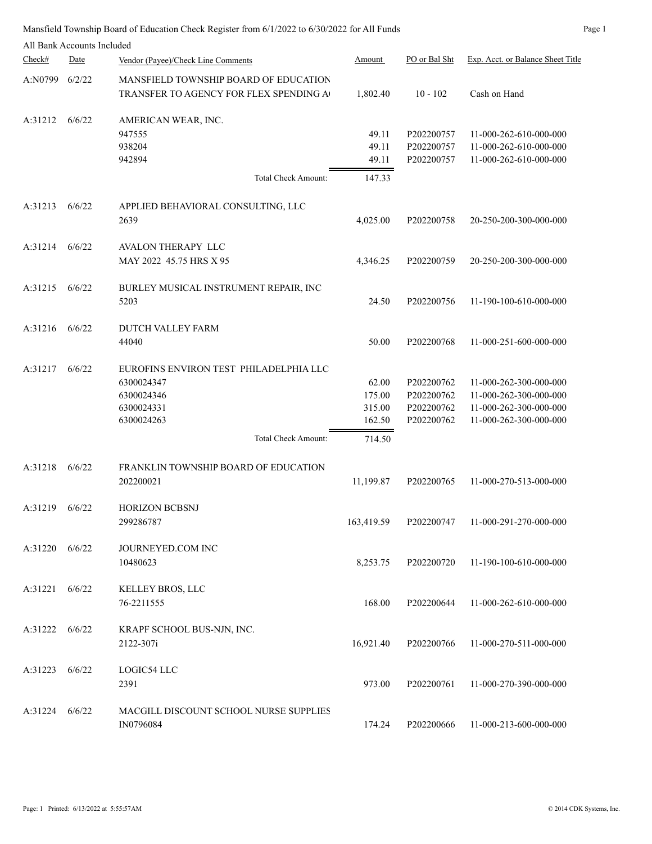Mansfield Township Board of Education Check Register from 6/1/2022 to 6/30/2022 for All Funds Page 1

|         | All Bank Accounts Included |                                                                                                                       |                                               |                                                      |                                                                                                      |
|---------|----------------------------|-----------------------------------------------------------------------------------------------------------------------|-----------------------------------------------|------------------------------------------------------|------------------------------------------------------------------------------------------------------|
| Check#  | Date                       | Vendor (Payee)/Check Line Comments                                                                                    | Amount                                        | PO or Bal Sht                                        | Exp. Acct. or Balance Sheet Title                                                                    |
| A:N0799 | 6/2/22                     | MANSFIELD TOWNSHIP BOARD OF EDUCATION<br>TRANSFER TO AGENCY FOR FLEX SPENDING A                                       | 1,802.40                                      | $10 - 102$                                           | Cash on Hand                                                                                         |
| A:31212 | 6/6/22                     | AMERICAN WEAR, INC.<br>947555<br>938204<br>942894<br>Total Check Amount:                                              | 49.11<br>49.11<br>49.11<br>147.33             | P202200757<br>P202200757<br>P202200757               | 11-000-262-610-000-000<br>11-000-262-610-000-000<br>11-000-262-610-000-000                           |
|         |                            |                                                                                                                       |                                               |                                                      |                                                                                                      |
| A:31213 | 6/6/22                     | APPLIED BEHAVIORAL CONSULTING, LLC<br>2639                                                                            | 4,025.00                                      | P202200758                                           | 20-250-200-300-000-000                                                                               |
| A:31214 | 6/6/22                     | <b>AVALON THERAPY LLC</b><br>MAY 2022 45.75 HRS X 95                                                                  | 4,346.25                                      | P202200759                                           | 20-250-200-300-000-000                                                                               |
| A:31215 | 6/6/22                     | BURLEY MUSICAL INSTRUMENT REPAIR, INC<br>5203                                                                         | 24.50                                         | P202200756                                           | 11-190-100-610-000-000                                                                               |
| A:31216 | 6/6/22                     | <b>DUTCH VALLEY FARM</b><br>44040                                                                                     | 50.00                                         | P202200768                                           | 11-000-251-600-000-000                                                                               |
| A:31217 | 6/6/22                     | EUROFINS ENVIRON TEST PHILADELPHIA LLC<br>6300024347<br>6300024346<br>6300024331<br>6300024263<br>Total Check Amount: | 62.00<br>175.00<br>315.00<br>162.50<br>714.50 | P202200762<br>P202200762<br>P202200762<br>P202200762 | 11-000-262-300-000-000<br>11-000-262-300-000-000<br>11-000-262-300-000-000<br>11-000-262-300-000-000 |
| A:31218 | 6/6/22                     | FRANKLIN TOWNSHIP BOARD OF EDUCATION<br>202200021                                                                     | 11,199.87                                     | P202200765                                           | 11-000-270-513-000-000                                                                               |
| A:31219 | 6/6/22                     | <b>HORIZON BCBSNJ</b><br>299286787                                                                                    | 163,419.59                                    | P202200747                                           | 11-000-291-270-000-000                                                                               |
| A:31220 | 6/6/22                     | JOURNEYED.COM INC<br>10480623                                                                                         | 8,253.75                                      | P202200720                                           | 11-190-100-610-000-000                                                                               |
| A:31221 | 6/6/22                     | KELLEY BROS, LLC<br>76-2211555                                                                                        | 168.00                                        | P202200644                                           | 11-000-262-610-000-000                                                                               |
| A:31222 | 6/6/22                     | KRAPF SCHOOL BUS-NJN, INC.<br>2122-307i                                                                               | 16,921.40                                     | P202200766                                           | 11-000-270-511-000-000                                                                               |
| A:31223 | 6/6/22                     | LOGIC54 LLC<br>2391                                                                                                   | 973.00                                        | P202200761                                           | 11-000-270-390-000-000                                                                               |
| A:31224 | 6/6/22                     | MACGILL DISCOUNT SCHOOL NURSE SUPPLIES<br>IN0796084                                                                   | 174.24                                        | P202200666                                           | 11-000-213-600-000-000                                                                               |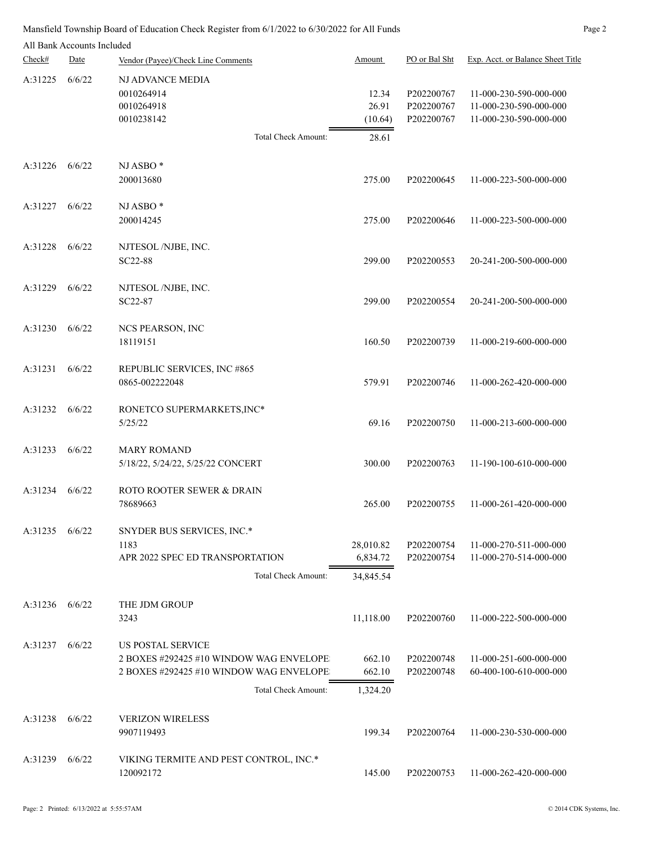|         | All Bank Accounts Included |                                                                                                                |                                    |                                        |                                                                            |
|---------|----------------------------|----------------------------------------------------------------------------------------------------------------|------------------------------------|----------------------------------------|----------------------------------------------------------------------------|
| Check#  | Date                       | Vendor (Payee)/Check Line Comments                                                                             | Amount                             | PO or Bal Sht                          | Exp. Acct. or Balance Sheet Title                                          |
| A:31225 | 6/6/22                     | NJ ADVANCE MEDIA<br>0010264914<br>0010264918<br>0010238142<br>Total Check Amount:                              | 12.34<br>26.91<br>(10.64)<br>28.61 | P202200767<br>P202200767<br>P202200767 | 11-000-230-590-000-000<br>11-000-230-590-000-000<br>11-000-230-590-000-000 |
|         |                            |                                                                                                                |                                    |                                        |                                                                            |
| A:31226 | 6/6/22                     | NJ ASBO <sup>*</sup><br>200013680                                                                              | 275.00                             | P202200645                             | 11-000-223-500-000-000                                                     |
| A:31227 | 6/6/22                     | NJ ASBO <sup>*</sup><br>200014245                                                                              | 275.00                             | P202200646                             | 11-000-223-500-000-000                                                     |
| A:31228 | 6/6/22                     | NJTESOL/NJBE, INC.<br>SC22-88                                                                                  | 299.00                             | P202200553                             | 20-241-200-500-000-000                                                     |
| A:31229 | 6/6/22                     | NJTESOL /NJBE, INC.<br>SC22-87                                                                                 | 299.00                             | P202200554                             | 20-241-200-500-000-000                                                     |
| A:31230 | 6/6/22                     | NCS PEARSON, INC<br>18119151                                                                                   | 160.50                             | P202200739                             | 11-000-219-600-000-000                                                     |
| A:31231 | 6/6/22                     | REPUBLIC SERVICES, INC #865<br>0865-002222048                                                                  | 579.91                             | P202200746                             | 11-000-262-420-000-000                                                     |
| A:31232 | 6/6/22                     | RONETCO SUPERMARKETS, INC*<br>5/25/22                                                                          | 69.16                              | P202200750                             | 11-000-213-600-000-000                                                     |
| A:31233 | 6/6/22                     | <b>MARY ROMAND</b><br>5/18/22, 5/24/22, 5/25/22 CONCERT                                                        | 300.00                             | P202200763                             | 11-190-100-610-000-000                                                     |
| A:31234 | 6/6/22                     | ROTO ROOTER SEWER & DRAIN<br>78689663                                                                          | 265.00                             | P202200755                             | 11-000-261-420-000-000                                                     |
| A:31235 | 6/6/22                     | SNYDER BUS SERVICES, INC.*<br>1183<br>APR 2022 SPEC ED TRANSPORTATION                                          | 28,010.82<br>6,834.72              | P202200754<br>P202200754               | 11-000-270-511-000-000<br>11-000-270-514-000-000                           |
|         |                            | <b>Total Check Amount:</b>                                                                                     | 34,845.54                          |                                        |                                                                            |
| A:31236 | 6/6/22                     | THE JDM GROUP<br>3243                                                                                          | 11,118.00                          | P202200760                             | 11-000-222-500-000-000                                                     |
| A:31237 | 6/6/22                     | <b>US POSTAL SERVICE</b><br>2 BOXES #292425 #10 WINDOW WAG ENVELOPE<br>2 BOXES #292425 #10 WINDOW WAG ENVELOPE | 662.10<br>662.10                   | P202200748<br>P202200748               | 11-000-251-600-000-000<br>60-400-100-610-000-000                           |
|         |                            | Total Check Amount:                                                                                            | 1,324.20                           |                                        |                                                                            |
| A:31238 | 6/6/22                     | <b>VERIZON WIRELESS</b><br>9907119493                                                                          | 199.34                             | P202200764                             | 11-000-230-530-000-000                                                     |
| A:31239 | 6/6/22                     | VIKING TERMITE AND PEST CONTROL, INC.*<br>120092172                                                            | 145.00                             | P202200753                             | 11-000-262-420-000-000                                                     |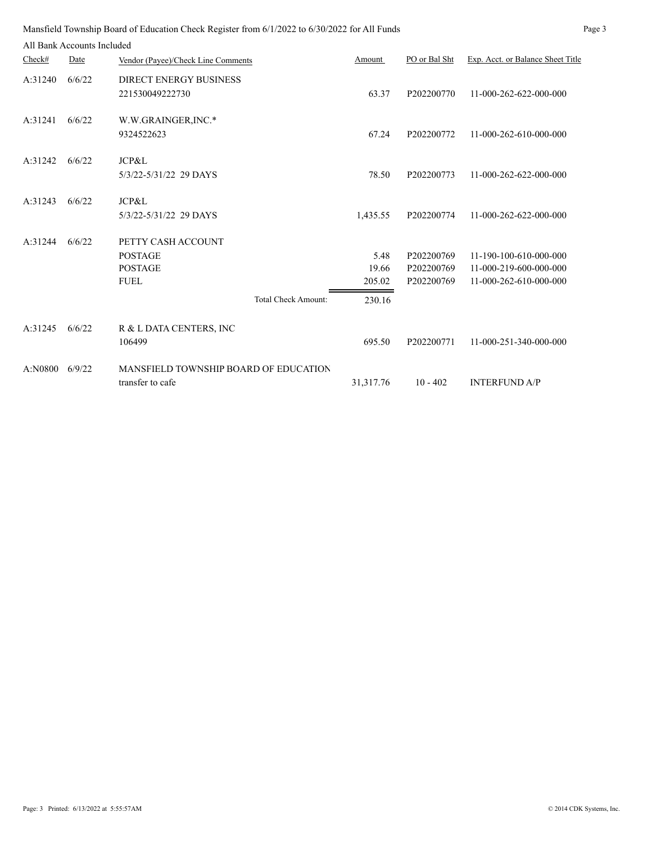|         | All Bank Accounts Included |                                                                                                     |                                   |                                        |                                                                            |
|---------|----------------------------|-----------------------------------------------------------------------------------------------------|-----------------------------------|----------------------------------------|----------------------------------------------------------------------------|
| Check#  | Date                       | Vendor (Payee)/Check Line Comments                                                                  | Amount                            | PO or Bal Sht                          | Exp. Acct. or Balance Sheet Title                                          |
| A:31240 | 6/6/22                     | <b>DIRECT ENERGY BUSINESS</b><br>221530049222730                                                    | 63.37                             | P202200770                             | 11-000-262-622-000-000                                                     |
| A:31241 | 6/6/22                     | W.W.GRAINGER, INC.*<br>9324522623                                                                   | 67.24                             | P202200772                             | 11-000-262-610-000-000                                                     |
| A:31242 | 6/6/22                     | JCP&L<br>5/3/22-5/31/22 29 DAYS                                                                     | 78.50                             | P202200773                             | 11-000-262-622-000-000                                                     |
| A:31243 | 6/6/22                     | JCP&L<br>5/3/22-5/31/22 29 DAYS                                                                     | 1,435.55                          | P202200774                             | 11-000-262-622-000-000                                                     |
| A:31244 | 6/6/22                     | PETTY CASH ACCOUNT<br><b>POSTAGE</b><br><b>POSTAGE</b><br><b>FUEL</b><br><b>Total Check Amount:</b> | 5.48<br>19.66<br>205.02<br>230.16 | P202200769<br>P202200769<br>P202200769 | 11-190-100-610-000-000<br>11-000-219-600-000-000<br>11-000-262-610-000-000 |
| A:31245 | 6/6/22                     | R & L DATA CENTERS, INC<br>106499                                                                   | 695.50                            | P202200771                             | 11-000-251-340-000-000                                                     |
| A:N0800 | 6/9/22                     | MANSFIELD TOWNSHIP BOARD OF EDUCATION<br>transfer to cafe                                           | 31,317.76                         | $10 - 402$                             | <b>INTERFUND A/P</b>                                                       |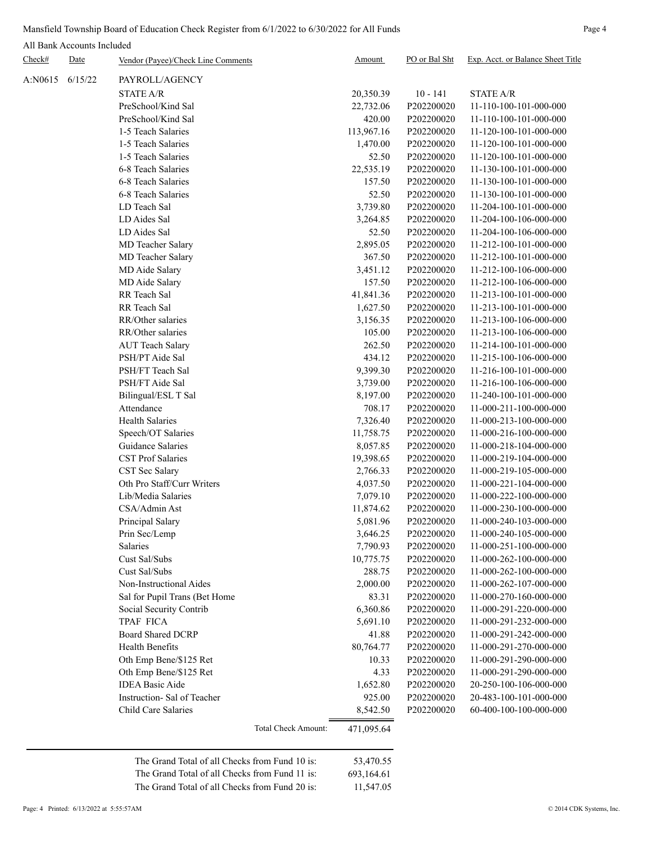## Mansfield Township Board of Education Check Register from 6/1/2022 to 6/30/2022 for All Funds Page 4

All Bank Accounts Included

| Check#  | Date    | Vendor (Payee)/Check Line Comments             | Amount     | PO or Bal Sht | Exp. Acct. or Balance Sheet Title                |
|---------|---------|------------------------------------------------|------------|---------------|--------------------------------------------------|
| A:N0615 | 6/15/22 | PAYROLL/AGENCY                                 |            |               |                                                  |
|         |         | <b>STATE A/R</b>                               | 20,350.39  | $10 - 141$    | <b>STATE A/R</b>                                 |
|         |         | PreSchool/Kind Sal                             | 22,732.06  | P202200020    | 11-110-100-101-000-000                           |
|         |         | PreSchool/Kind Sal                             | 420.00     | P202200020    | 11-110-100-101-000-000                           |
|         |         | 1-5 Teach Salaries                             | 113,967.16 | P202200020    | 11-120-100-101-000-000                           |
|         |         | 1-5 Teach Salaries                             | 1,470.00   | P202200020    | 11-120-100-101-000-000                           |
|         |         | 1-5 Teach Salaries                             | 52.50      | P202200020    | 11-120-100-101-000-000                           |
|         |         | 6-8 Teach Salaries                             | 22,535.19  | P202200020    | 11-130-100-101-000-000                           |
|         |         | 6-8 Teach Salaries                             | 157.50     | P202200020    | 11-130-100-101-000-000                           |
|         |         | 6-8 Teach Salaries                             | 52.50      | P202200020    | 11-130-100-101-000-000                           |
|         |         | LD Teach Sal                                   | 3,739.80   | P202200020    | 11-204-100-101-000-000                           |
|         |         | LD Aides Sal                                   | 3,264.85   | P202200020    | 11-204-100-106-000-000                           |
|         |         | LD Aides Sal                                   | 52.50      | P202200020    | 11-204-100-106-000-000                           |
|         |         | MD Teacher Salary                              | 2,895.05   | P202200020    | 11-212-100-101-000-000                           |
|         |         | MD Teacher Salary                              | 367.50     | P202200020    | 11-212-100-101-000-000                           |
|         |         | MD Aide Salary                                 | 3,451.12   | P202200020    | 11-212-100-106-000-000                           |
|         |         | MD Aide Salary                                 | 157.50     | P202200020    | 11-212-100-106-000-000                           |
|         |         | RR Teach Sal                                   | 41,841.36  | P202200020    | 11-213-100-101-000-000                           |
|         |         | RR Teach Sal                                   | 1,627.50   | P202200020    | 11-213-100-101-000-000                           |
|         |         | RR/Other salaries                              | 3,156.35   | P202200020    | 11-213-100-106-000-000                           |
|         |         | RR/Other salaries                              | 105.00     | P202200020    | 11-213-100-106-000-000                           |
|         |         |                                                |            | P202200020    |                                                  |
|         |         | <b>AUT Teach Salary</b>                        | 262.50     |               | 11-214-100-101-000-000<br>11-215-100-106-000-000 |
|         |         | PSH/PT Aide Sal<br>PSH/FT Teach Sal            | 434.12     | P202200020    |                                                  |
|         |         |                                                | 9,399.30   | P202200020    | 11-216-100-101-000-000                           |
|         |         | PSH/FT Aide Sal                                | 3,739.00   | P202200020    | 11-216-100-106-000-000                           |
|         |         | Bilingual/ESL T Sal<br>Attendance              | 8,197.00   | P202200020    | 11-240-100-101-000-000                           |
|         |         |                                                | 708.17     | P202200020    | 11-000-211-100-000-000                           |
|         |         | <b>Health Salaries</b>                         | 7,326.40   | P202200020    | 11-000-213-100-000-000                           |
|         |         | Speech/OT Salaries                             | 11,758.75  | P202200020    | 11-000-216-100-000-000                           |
|         |         | Guidance Salaries                              | 8,057.85   | P202200020    | 11-000-218-104-000-000                           |
|         |         | <b>CST Prof Salaries</b>                       | 19,398.65  | P202200020    | 11-000-219-104-000-000                           |
|         |         | CST Sec Salary                                 | 2,766.33   | P202200020    | 11-000-219-105-000-000                           |
|         |         | Oth Pro Staff/Curr Writers                     | 4,037.50   | P202200020    | 11-000-221-104-000-000                           |
|         |         | Lib/Media Salaries                             | 7,079.10   | P202200020    | 11-000-222-100-000-000                           |
|         |         | CSA/Admin Ast                                  | 11,874.62  | P202200020    | 11-000-230-100-000-000                           |
|         |         | Principal Salary                               | 5,081.96   | P202200020    | 11-000-240-103-000-000                           |
|         |         | Prin Sec/Lemp                                  | 3,646.25   | P202200020    | 11-000-240-105-000-000                           |
|         |         | Salaries                                       | 7,790.93   | P202200020    | 11-000-251-100-000-000                           |
|         |         | Cust Sal/Subs                                  | 10,775.75  | P202200020    | 11-000-262-100-000-000                           |
|         |         | Cust Sal/Subs                                  | 288.75     | P202200020    | 11-000-262-100-000-000                           |
|         |         | Non-Instructional Aides                        | 2,000.00   | P202200020    | 11-000-262-107-000-000                           |
|         |         | Sal for Pupil Trans (Bet Home                  | 83.31      | P202200020    | 11-000-270-160-000-000                           |
|         |         | Social Security Contrib                        | 6,360.86   | P202200020    | 11-000-291-220-000-000                           |
|         |         | TPAF FICA                                      | 5,691.10   | P202200020    | 11-000-291-232-000-000                           |
|         |         | <b>Board Shared DCRP</b>                       | 41.88      | P202200020    | 11-000-291-242-000-000                           |
|         |         | <b>Health Benefits</b>                         | 80,764.77  | P202200020    | 11-000-291-270-000-000                           |
|         |         | Oth Emp Bene/\$125 Ret                         | 10.33      | P202200020    | 11-000-291-290-000-000                           |
|         |         | Oth Emp Bene/\$125 Ret                         | 4.33       | P202200020    | 11-000-291-290-000-000                           |
|         |         | <b>IDEA Basic Aide</b>                         | 1,652.80   | P202200020    | 20-250-100-106-000-000                           |
|         |         | Instruction-Sal of Teacher                     | 925.00     | P202200020    | 20-483-100-101-000-000                           |
|         |         | Child Care Salaries                            | 8,542.50   | P202200020    | 60-400-100-100-000-000                           |
|         |         | Total Check Amount:                            | 471,095.64 |               |                                                  |
|         |         | The Grand Total of all Checks from Fund 10 is: | 53,470.55  |               |                                                  |
|         |         | The Grand Total of all Checks from Fund 11 is: | 693,164.61 |               |                                                  |
|         |         | The Grand Total of all Checks from Fund 20 is: | 11,547.05  |               |                                                  |
|         |         |                                                |            |               |                                                  |

Page: 4 Printed: 6/13/2022 at 5:55:57AM © 2014 CDK Systems, Inc.